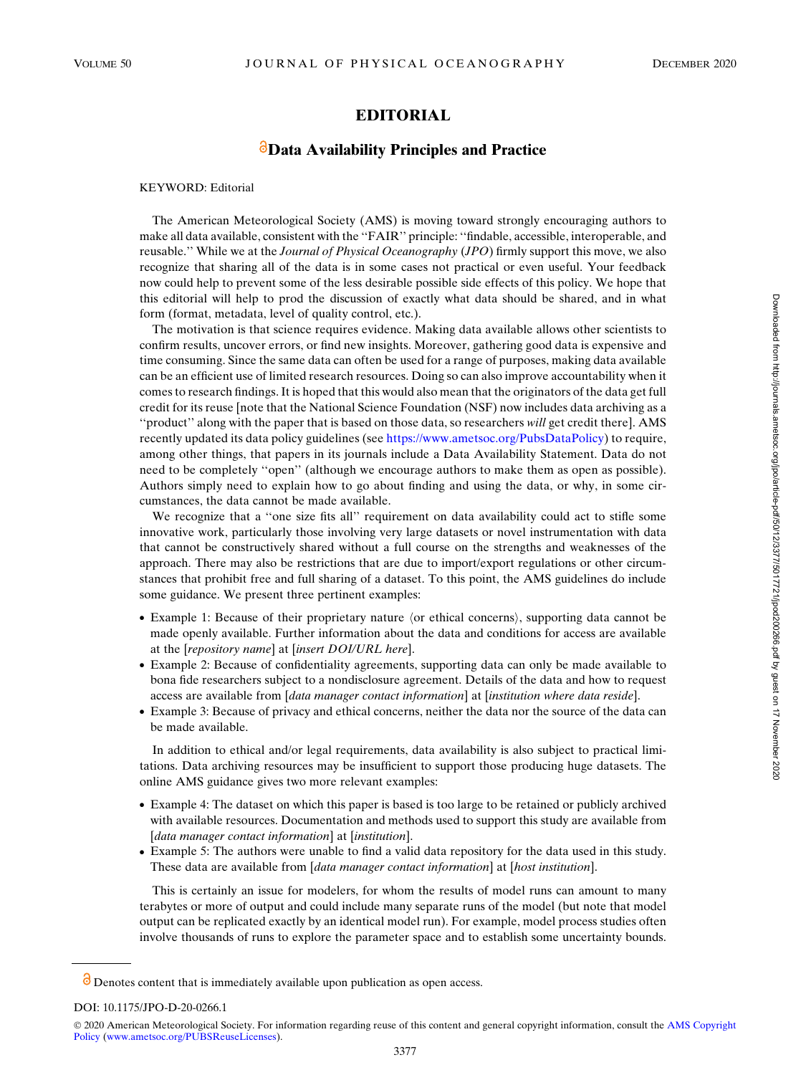## EDITORIAL

## **B** Data Availability Principles and Practice

KEYWORD: Editorial

The American Meteorological Society (AMS) is moving toward strongly encouraging authors to make all data available, consistent with the ''FAIR'' principle: ''findable, accessible, interoperable, and reusable." While we at the *Journal of Physical Oceanography (JPO)* firmly support this move, we also recognize that sharing all of the data is in some cases not practical or even useful. Your feedback now could help to prevent some of the less desirable possible side effects of this policy. We hope that this editorial will help to prod the discussion of exactly what data should be shared, and in what form (format, metadata, level of quality control, etc.).

The motivation is that science requires evidence. Making data available allows other scientists to confirm results, uncover errors, or find new insights. Moreover, gathering good data is expensive and time consuming. Since the same data can often be used for a range of purposes, making data available can be an efficient use of limited research resources. Doing so can also improve accountability when it comes to research findings. It is hoped that this would also mean that the originators of the data get full credit for its reuse [note that the National Science Foundation (NSF) now includes data archiving as a ''product'' along with the paper that is based on those data, so researchers will get credit there]. AMS recently updated its data policy guidelines (see [https://www.ametsoc.org/PubsDataPolicy\)](https://www.ametsoc.org/PubsDataPolicy) to require, among other things, that papers in its journals include a Data Availability Statement. Data do not need to be completely ''open'' (although we encourage authors to make them as open as possible). Authors simply need to explain how to go about finding and using the data, or why, in some circumstances, the data cannot be made available.

We recognize that a "one size fits all" requirement on data availability could act to stifle some innovative work, particularly those involving very large datasets or novel instrumentation with data that cannot be constructively shared without a full course on the strengths and weaknesses of the approach. There may also be restrictions that are due to import/export regulations or other circumstances that prohibit free and full sharing of a dataset. To this point, the AMS guidelines do include some guidance. We present three pertinent examples:

- Example 1: Because of their proprietary nature  $\langle$  or ethical concerns $\rangle$ , supporting data cannot be made openly available. Further information about the data and conditions for access are available at the [repository name] at [insert DOI/URL here].
- Example 2: Because of confidentiality agreements, supporting data can only be made available to bona fide researchers subject to a nondisclosure agreement. Details of the data and how to request access are available from [data manager contact information] at [institution where data reside].
- Example 3: Because of privacy and ethical concerns, neither the data nor the source of the data can be made available.

In addition to ethical and/or legal requirements, data availability is also subject to practical limitations. Data archiving resources may be insufficient to support those producing huge datasets. The online AMS guidance gives two more relevant examples:

- Example 4: The dataset on which this paper is based is too large to be retained or publicly archived with available resources. Documentation and methods used to support this study are available from [data manager contact information] at [institution].
- Example 5: The authors were unable to find a valid data repository for the data used in this study. These data are available from [data manager contact information] at [host institution].

This is certainly an issue for modelers, for whom the results of model runs can amount to many terabytes or more of output and could include many separate runs of the model (but note that model output can be replicated exactly by an identical model run). For example, model process studies often involve thousands of runs to explore the parameter space and to establish some uncertainty bounds.

 $\delta$  Denotes content that is immediately available upon publication as open access.

DOI: 10.1175/JPO-D-20-0266.1

<sup>© 2020</sup> American Meteorological Society. For information regarding reuse of this content and general copyright information, consult the [AMS Copyright](http://www.ametsoc.org/PUBSReuseLicenses) [Policy](http://www.ametsoc.org/PUBSReuseLicenses) [\(www.ametsoc.org/PUBSReuseLicenses](http://www.ametsoc.org/PUBSReuseLicenses)).